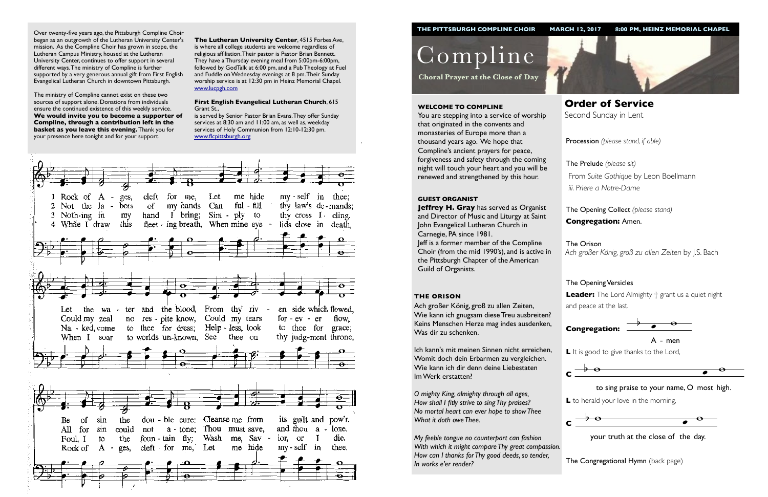Procession *(please stand, if able)*

The Opening Collect *(please stand)* **Congregation:** Amen.

# The Opening Versicles

**L** to herald your love in the morning,  $\ddot{\phantom{0}}$ 



 $\frac{1}{2}$  your truth at the close of the day.

**Leader:** The Lord Almighty † grant us a quiet night and peace at the last.



Compline

**Choral Prayer at the Close of Day**

**Order of Service**  Second Sunday in Lent

#### **WELCOME TO COMPLINE**

**Jeffrey H. Gray** has served as Organist and Director of Music and Liturgy at Saint John Evangelical Lutheran Church in Carnegie, PA since 1981. Jeff is a former member of the Compline Choir (from the mid 1990's), and is active in the Pittsburgh Chapter of the American Guild of Organists.

You are stepping into a service of worship that originated in the convents and monasteries of Europe more than a thousand years ago. We hope that Compline's ancient prayers for peace, forgiveness and safety through the coming night will touch your heart and you will be renewed and strengthened by this hour.

The Prelude *(please sit)* From *Suite Gothique* by Leon Boellmann *iii. Priere a Notre-Dame*

The Orison *Ach großer König, groß zu allen Zeiten* by J.S. Bach

#### **GUEST ORGANIST**

**The Congregational Hymn** (back page) *My feeble tongue no counterpart can fashion With which it might compare Thy great compassion. How can I thanks for Thy good deeds, so tender, In works e'er render?* 



#### **THE ORISON**

Ach großer König, groß zu allen Zeiten, Wie kann ich gnugsam diese Treu ausbreiten? Keins Menschen Herze mag indes ausdenken, Was dir zu schenken.

Ich kann's mit meinen Sinnen nicht erreichen, Womit doch dein Erbarmen zu vergleichen. Wie kann ich dir denn deine Liebestaten Im Werk erstatten?



*O mighty King, almighty through all ages, How shall I fitly strive to sing Thy praises? No mortal heart can ever hope to show Thee What it doth owe Thee.*

Over twenty-five years ago, the Pittsburgh Compline Choir began as an outgrowth of the Lutheran University Center's mission. As the Compline Choir has grown in scope, the Lutheran Campus Ministry, housed at the Lutheran University Center, continues to offer support in several different ways. The ministry of Compline is further supported by a very generous annual gift from First English Evangelical Lutheran Church in downtown Pittsburgh.

The ministry of Compline cannot exist on these two sources of support alone. Donations from individuals ensure the continued existence of this weekly service. **We would invite you to become a supporter of Compline, through a contribution left in the basket as you leave this evening.** Thank you for your presence here tonight and for your support.



L It is good to give thanks to the Lord,



**The Lutheran University Center**, 4515 Forbes Ave, is where all college students are welcome regardless of religious affiliation. Their pastor is Pastor Brian Bennett. They have a Thursday evening meal from 5:00pm-6:00pm, followed by GodTalk at 6:00 pm, and a Pub Theology at Fuel and Fuddle on Wednesday evenings at 8 pm. Their Sunday worship service is at 12:30 pm in Heinz Memorial Chapel. [www.lucpgh.com](http://www.lucpgh.com)

#### **First English Evangelical Lutheran Church**, 615 Grant St.,

is served by Senior Pastor Brian Evans. They offer Sunday services at 8:30 am and 11:00 am, as well as, weekday services of Holy Communion from 12:10-12:30 pm. [www.flcpittsburgh.org](http://www.flcpittsburgh.org)